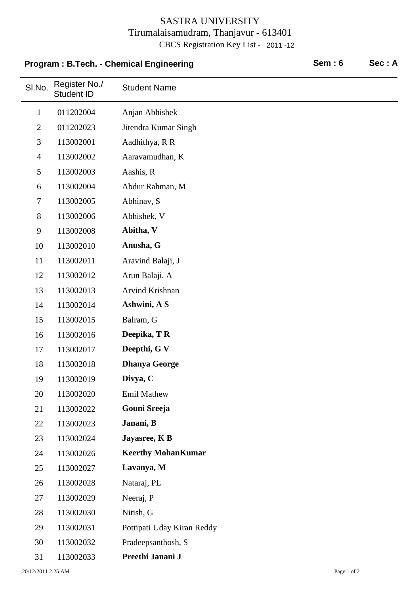## SASTRA UNIVERSITY Tirumalaisamudram, Thanjavur - 613401 CBCS Registration Key List - 2011 -12

## **Program : B.Tech. - Chemical Engineering Sem : 6 Sec : A**

 $\overline{\phantom{0}}$ 

| SI.No.         | Register No./<br><b>Student ID</b> | <b>Student Name</b>        |
|----------------|------------------------------------|----------------------------|
| $\mathbf{1}$   | 011202004                          | Anjan Abhishek             |
| $\mathbf{2}$   | 011202023                          | Jitendra Kumar Singh       |
| $\mathfrak{Z}$ | 113002001                          | Aadhithya, R R             |
| $\overline{4}$ | 113002002                          | Aaravamudhan, K            |
| 5              | 113002003                          | Aashis, R                  |
| 6              | 113002004                          | Abdur Rahman, M            |
| $\tau$         | 113002005                          | Abhinav, S                 |
| 8              | 113002006                          | Abhishek, V                |
| 9              | 113002008                          | Abitha, V                  |
| 10             | 113002010                          | Anusha, G                  |
| 11             | 113002011                          | Aravind Balaji, J          |
| 12             | 113002012                          | Arun Balaji, A             |
| 13             | 113002013                          | Arvind Krishnan            |
| 14             | 113002014                          | Ashwini, A S               |
| 15             | 113002015                          | Balram, G                  |
| 16             | 113002016                          | Deepika, TR                |
| 17             | 113002017                          | Deepthi, G V               |
| 18             | 113002018                          | <b>Dhanya George</b>       |
| 19             | 113002019                          | Divya, C                   |
| 20             | 113002020                          | Emil Mathew                |
| 21             | 113002022                          | Gouni Sreeja               |
| 22             | 113002023                          | Janani, B                  |
| 23             | 113002024                          | Jayasree, K B              |
| 24             | 113002026                          | <b>Keerthy MohanKumar</b>  |
| 25             | 113002027                          | Lavanya, M                 |
| 26             | 113002028                          | Nataraj, PL                |
| 27             | 113002029                          | Neeraj, P                  |
| 28             | 113002030                          | Nitish, G                  |
| 29             | 113002031                          | Pottipati Uday Kiran Reddy |
| 30             | 113002032                          | Pradeepsanthosh, S         |
| 31             | 113002033                          | Preethi Janani J           |